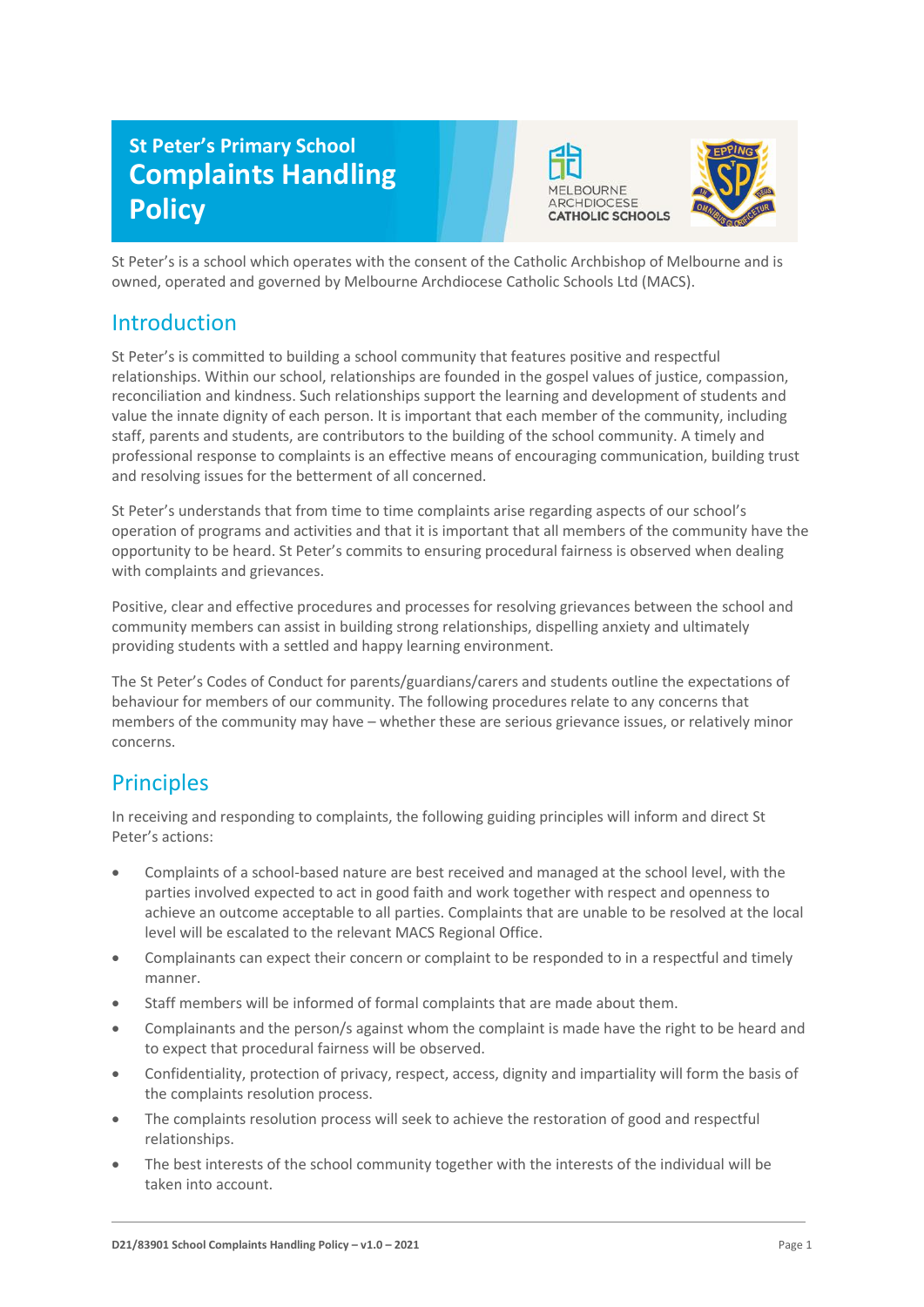# **St Peter's Primary School Complaints Handling Policy**





St Peter's is a school which operates with the consent of the Catholic Archbishop of Melbourne and is owned, operated and governed by Melbourne Archdiocese Catholic Schools Ltd (MACS).

### Introduction

St Peter's is committed to building a school community that features positive and respectful relationships. Within our school, relationships are founded in the gospel values of justice, compassion, reconciliation and kindness. Such relationships support the learning and development of students and value the innate dignity of each person. It is important that each member of the community, including staff, parents and students, are contributors to the building of the school community. A timely and professional response to complaints is an effective means of encouraging communication, building trust and resolving issues for the betterment of all concerned.

St Peter's understands that from time to time complaints arise regarding aspects of our school's operation of programs and activities and that it is important that all members of the community have the opportunity to be heard. St Peter's commits to ensuring procedural fairness is observed when dealing with complaints and grievances.

Positive, clear and effective procedures and processes for resolving grievances between the school and community members can assist in building strong relationships, dispelling anxiety and ultimately providing students with a settled and happy learning environment.

The St Peter's Codes of Conduct for parents/guardians/carers and students outline the expectations of behaviour for members of our community. The following procedures relate to any concerns that members of the community may have – whether these are serious grievance issues, or relatively minor concerns.

## **Principles**

In receiving and responding to complaints, the following guiding principles will inform and direct St Peter's actions:

- Complaints of a school-based nature are best received and managed at the school level, with the parties involved expected to act in good faith and work together with respect and openness to achieve an outcome acceptable to all parties. Complaints that are unable to be resolved at the local level will be escalated to the relevant MACS Regional Office.
- Complainants can expect their concern or complaint to be responded to in a respectful and timely manner.
- Staff members will be informed of formal complaints that are made about them.
- Complainants and the person/s against whom the complaint is made have the right to be heard and to expect that procedural fairness will be observed.
- Confidentiality, protection of privacy, respect, access, dignity and impartiality will form the basis of the complaints resolution process.
- The complaints resolution process will seek to achieve the restoration of good and respectful relationships.
- The best interests of the school community together with the interests of the individual will be taken into account.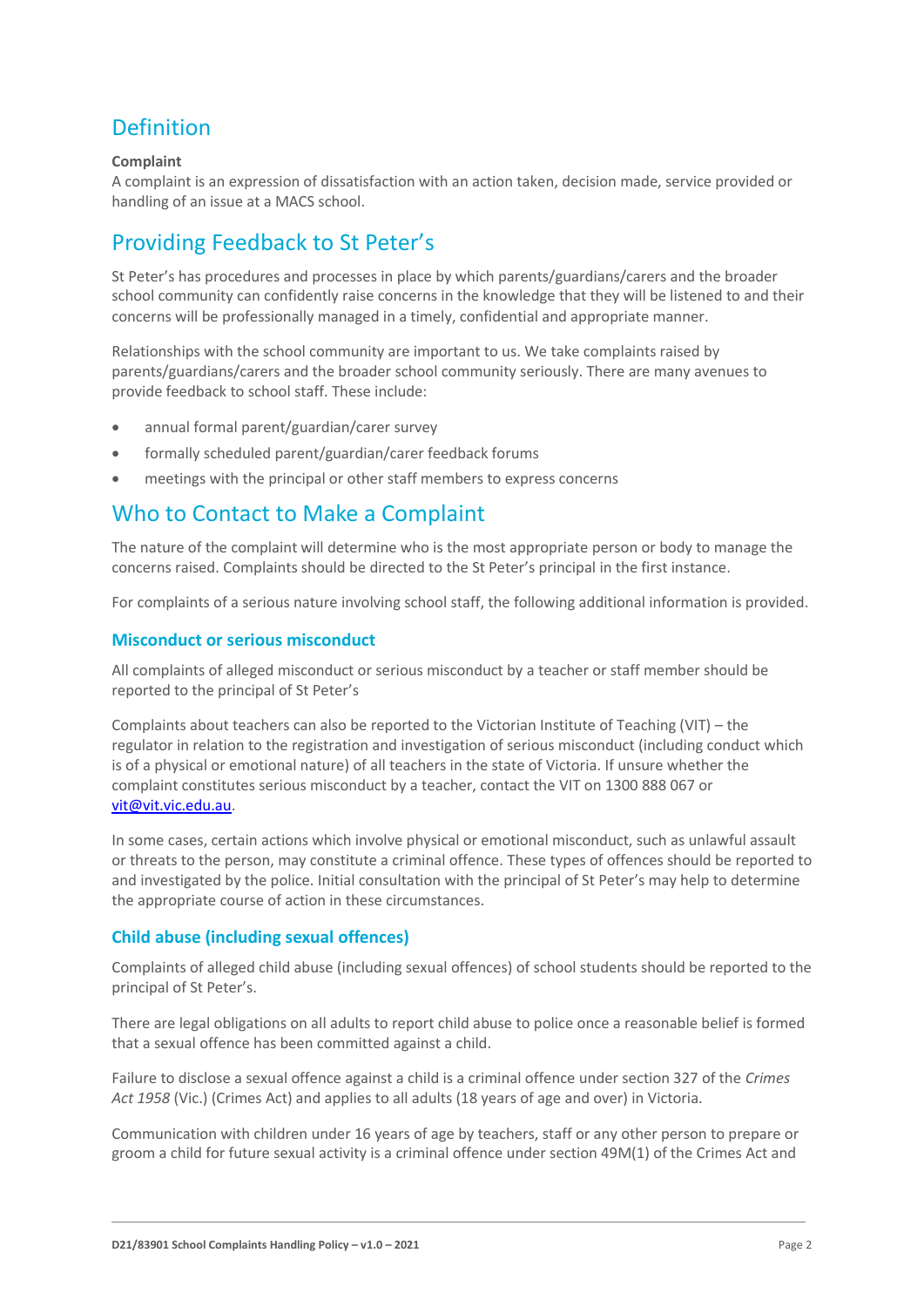## Definition

### **Complaint**

A complaint is an expression of dissatisfaction with an action taken, decision made, service provided or handling of an issue at a MACS school.

## Providing Feedback to St Peter's

St Peter's has procedures and processes in place by which parents/guardians/carers and the broader school community can confidently raise concerns in the knowledge that they will be listened to and their concerns will be professionally managed in a timely, confidential and appropriate manner.

Relationships with the school community are important to us. We take complaints raised by parents/guardians/carers and the broader school community seriously. There are many avenues to provide feedback to school staff. These include:

- annual formal parent/guardian/carer survey
- formally scheduled parent/guardian/carer feedback forums
- meetings with the principal or other staff members to express concerns

### Who to Contact to Make a Complaint

The nature of the complaint will determine who is the most appropriate person or body to manage the concerns raised. Complaints should be directed to the St Peter's principal in the first instance.

For complaints of a serious nature involving school staff, the following additional information is provided.

### **Misconduct or serious misconduct**

All complaints of alleged misconduct or serious misconduct by a teacher or staff member should be reported to the principal of St Peter's

Complaints about teachers can also be reported to the Victorian Institute of Teaching (VIT) – the regulator in relation to the registration and investigation of serious misconduct (including conduct which is of a physical or emotional nature) of all teachers in the state of Victoria. If unsure whether the complaint constitutes serious misconduct by a teacher, contact the VIT on 1300 888 067 or [vit@vit.vic.edu.au.](mailto:vit@vit.vic.edu.au)

In some cases, certain actions which involve physical or emotional misconduct, such as unlawful assault or threats to the person, may constitute a criminal offence. These types of offences should be reported to and investigated by the police. Initial consultation with the principal of St Peter's may help to determine the appropriate course of action in these circumstances.

### **Child abuse (including sexual offences)**

Complaints of alleged child abuse (including sexual offences) of school students should be reported to the principal of St Peter's.

There are legal obligations on all adults to report child abuse to police once a reasonable belief is formed that a sexual offence has been committed against a child.

Failure to disclose a sexual offence against a child is a criminal offence under section 327 of the *Crimes Act 1958* (Vic.) (Crimes Act) and applies to all adults (18 years of age and over) in Victoria.

Communication with children under 16 years of age by teachers, staff or any other person to prepare or groom a child for future sexual activity is a criminal offence under section 49M(1) of the Crimes Act and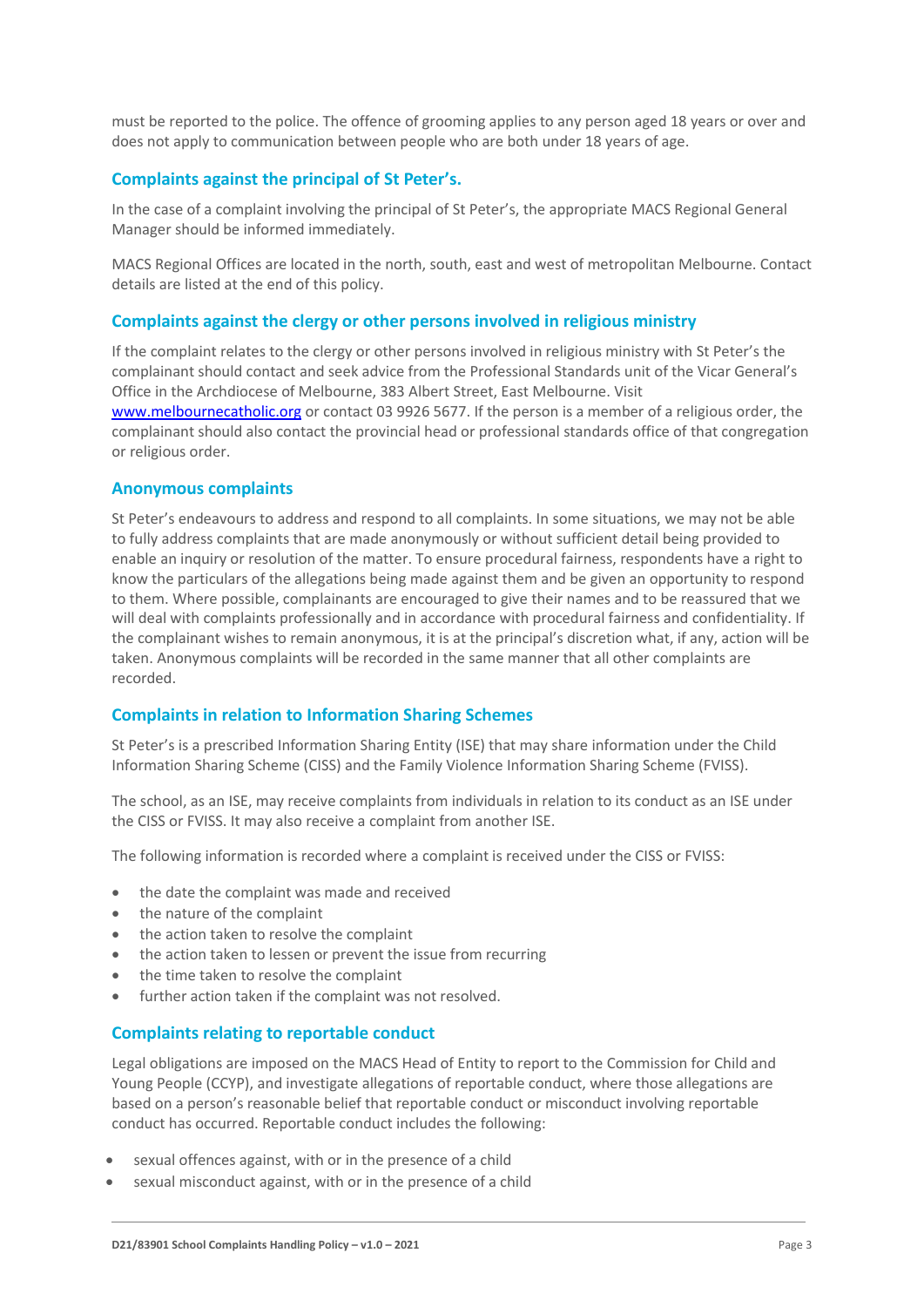must be reported to the police. The offence of grooming applies to any person aged 18 years or over and does not apply to communication between people who are both under 18 years of age.

### **Complaints against the principal of St Peter's.**

In the case of a complaint involving the principal of St Peter's, the appropriate MACS Regional General Manager should be informed immediately.

MACS Regional Offices are located in the north, south, east and west of metropolitan Melbourne. Contact details are listed at the end of this policy.

#### **Complaints against the clergy or other persons involved in religious ministry**

If the complaint relates to the clergy or other persons involved in religious ministry with St Peter's the complainant should contact and seek advice from the Professional Standards unit of the Vicar General's Office in the Archdiocese of Melbourne, 383 Albert Street, East Melbourne. Visit [www.melbournecatholic.org](http://www.melbournecatholic.org/) or contact 03 9926 5677. If the person is a member of a religious order, the complainant should also contact the provincial head or professional standards office of that congregation or religious order.

#### **Anonymous complaints**

St Peter's endeavours to address and respond to all complaints. In some situations, we may not be able to fully address complaints that are made anonymously or without sufficient detail being provided to enable an inquiry or resolution of the matter. To ensure procedural fairness, respondents have a right to know the particulars of the allegations being made against them and be given an opportunity to respond to them. Where possible, complainants are encouraged to give their names and to be reassured that we will deal with complaints professionally and in accordance with procedural fairness and confidentiality. If the complainant wishes to remain anonymous, it is at the principal's discretion what, if any, action will be taken. Anonymous complaints will be recorded in the same manner that all other complaints are recorded.

### **Complaints in relation to Information Sharing Schemes**

St Peter's is a prescribed Information Sharing Entity (ISE) that may share information under the Child Information Sharing Scheme (CISS) and the Family Violence Information Sharing Scheme (FVISS).

The school, as an ISE, may receive complaints from individuals in relation to its conduct as an ISE under the CISS or FVISS. It may also receive a complaint from another ISE.

The following information is recorded where a complaint is received under the CISS or FVISS:

- the date the complaint was made and received
- the nature of the complaint
- the action taken to resolve the complaint
- the action taken to lessen or prevent the issue from recurring
- the time taken to resolve the complaint
- further action taken if the complaint was not resolved.

#### **Complaints relating to reportable conduct**

Legal obligations are imposed on the MACS Head of Entity to report to the Commission for Child and Young People (CCYP), and investigate allegations of reportable conduct, where those allegations are based on a person's reasonable belief that reportable conduct or misconduct involving reportable conduct has occurred. Reportable conduct includes the following:

- sexual offences against, with or in the presence of a child
- sexual misconduct against, with or in the presence of a child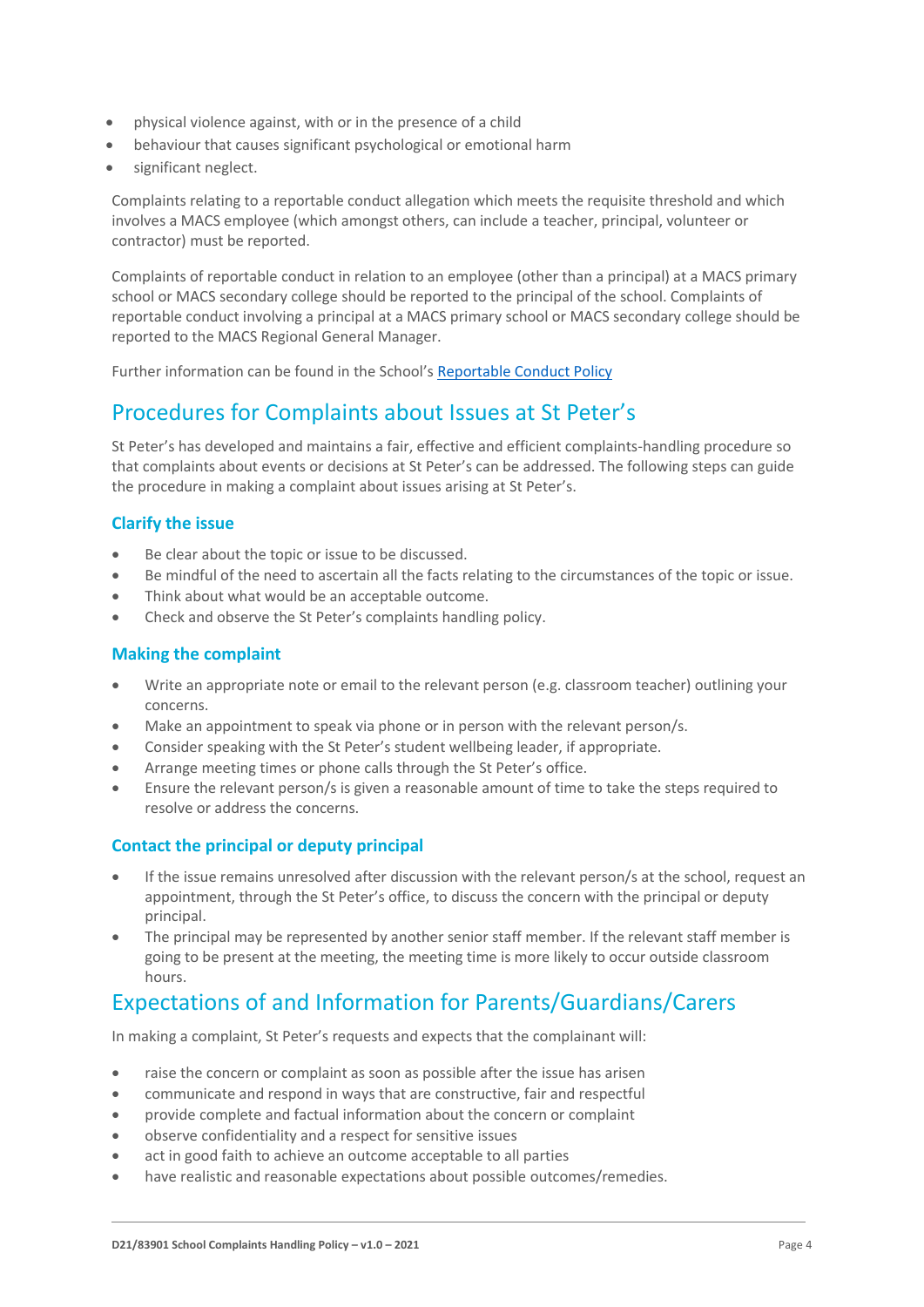- physical violence against, with or in the presence of a child
- behaviour that causes significant psychological or emotional harm
- significant neglect.

Complaints relating to a reportable conduct allegation which meets the requisite threshold and which involves a MACS employee (which amongst others, can include a teacher, principal, volunteer or contractor) must be reported.

Complaints of reportable conduct in relation to an employee (other than a principal) at a MACS primary school or MACS secondary college should be reported to the principal of the school. Complaints of reportable conduct involving a principal at a MACS primary school or MACS secondary college should be reported to the MACS Regional General Manager.

Further information can be found in the School's [Reportable Conduct Policy](https://www.stprepp.catholic.edu.au/_files/ugd/9ea2db_823ccb32ec9f49bcb99cdf5da2ac981d.pdf)

## Procedures for Complaints about Issues at St Peter's

St Peter's has developed and maintains a fair, effective and efficient complaints-handling procedure so that complaints about events or decisions at St Peter's can be addressed. The following steps can guide the procedure in making a complaint about issues arising at St Peter's.

### **Clarify the issue**

- Be clear about the topic or issue to be discussed.
- Be mindful of the need to ascertain all the facts relating to the circumstances of the topic or issue.
- Think about what would be an acceptable outcome.
- Check and observe the St Peter's complaints handling policy.

### **Making the complaint**

- Write an appropriate note or email to the relevant person (e.g. classroom teacher) outlining your concerns.
- Make an appointment to speak via phone or in person with the relevant person/s.
- Consider speaking with the St Peter's student wellbeing leader, if appropriate.
- Arrange meeting times or phone calls through the St Peter's office.
- Ensure the relevant person/s is given a reasonable amount of time to take the steps required to resolve or address the concerns.

### **Contact the principal or deputy principal**

- If the issue remains unresolved after discussion with the relevant person/s at the school, request an appointment, through the St Peter's office, to discuss the concern with the principal or deputy principal.
- The principal may be represented by another senior staff member. If the relevant staff member is going to be present at the meeting, the meeting time is more likely to occur outside classroom hours.

## Expectations of and Information for Parents/Guardians/Carers

In making a complaint, St Peter's requests and expects that the complainant will:

- raise the concern or complaint as soon as possible after the issue has arisen
- communicate and respond in ways that are constructive, fair and respectful
- provide complete and factual information about the concern or complaint
- observe confidentiality and a respect for sensitive issues
- act in good faith to achieve an outcome acceptable to all parties
- have realistic and reasonable expectations about possible outcomes/remedies.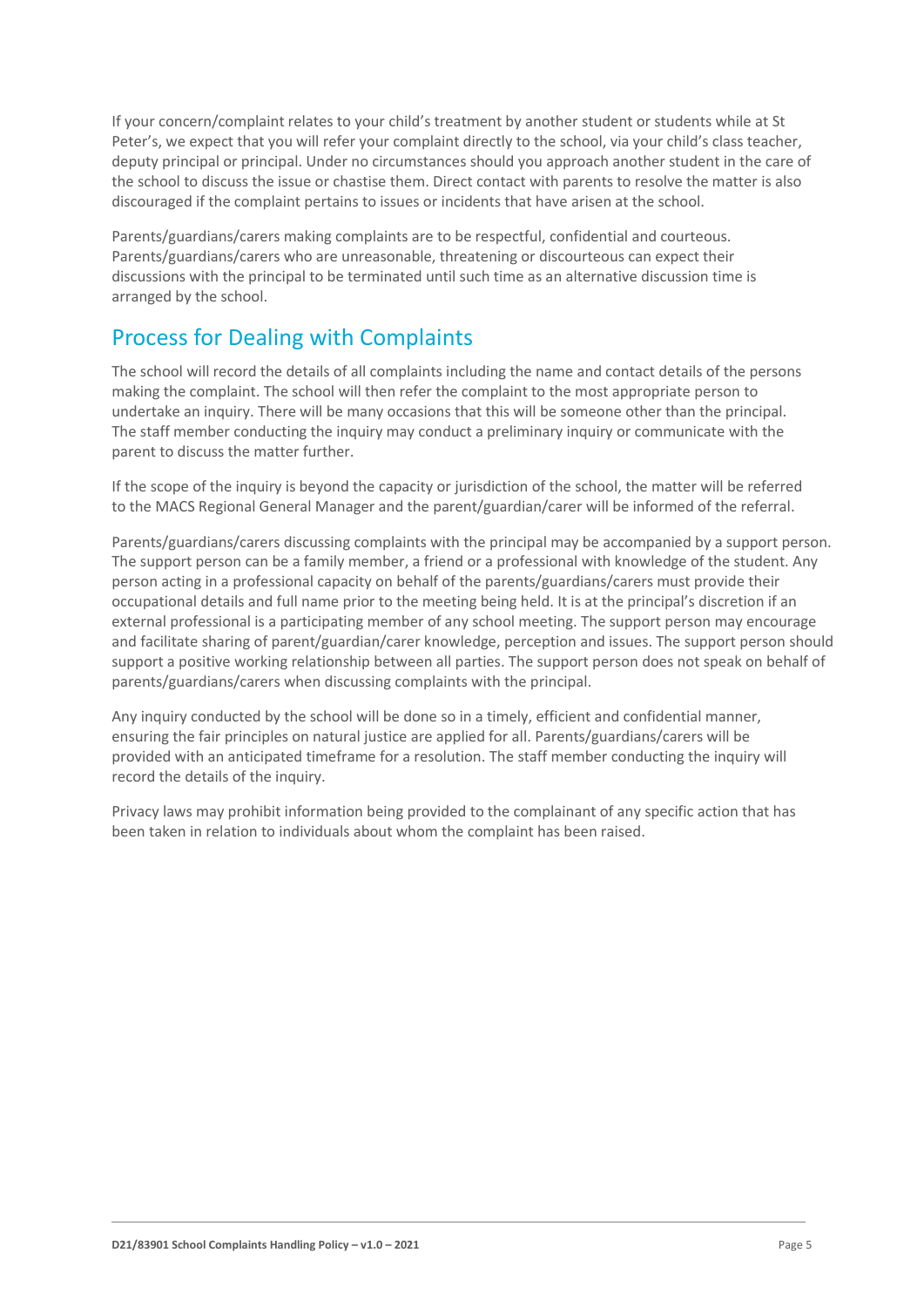If your concern/complaint relates to your child's treatment by another student or students while at St Peter's, we expect that you will refer your complaint directly to the school, via your child's class teacher, deputy principal or principal. Under no circumstances should you approach another student in the care of the school to discuss the issue or chastise them. Direct contact with parents to resolve the matter is also discouraged if the complaint pertains to issues or incidents that have arisen at the school.

Parents/guardians/carers making complaints are to be respectful, confidential and courteous. Parents/guardians/carers who are unreasonable, threatening or discourteous can expect their discussions with the principal to be terminated until such time as an alternative discussion time is arranged by the school.

## Process for Dealing with Complaints

The school will record the details of all complaints including the name and contact details of the persons making the complaint. The school will then refer the complaint to the most appropriate person to undertake an inquiry. There will be many occasions that this will be someone other than the principal. The staff member conducting the inquiry may conduct a preliminary inquiry or communicate with the parent to discuss the matter further.

If the scope of the inquiry is beyond the capacity or jurisdiction of the school, the matter will be referred to the MACS Regional General Manager and the parent/guardian/carer will be informed of the referral.

Parents/guardians/carers discussing complaints with the principal may be accompanied by a support person. The support person can be a family member, a friend or a professional with knowledge of the student. Any person acting in a professional capacity on behalf of the parents/guardians/carers must provide their occupational details and full name prior to the meeting being held. It is at the principal's discretion if an external professional is a participating member of any school meeting. The support person may encourage and facilitate sharing of parent/guardian/carer knowledge, perception and issues. The support person should support a positive working relationship between all parties. The support person does not speak on behalf of parents/guardians/carers when discussing complaints with the principal.

Any inquiry conducted by the school will be done so in a timely, efficient and confidential manner, ensuring the fair principles on natural justice are applied for all. Parents/guardians/carers will be provided with an anticipated timeframe for a resolution. The staff member conducting the inquiry will record the details of the inquiry.

Privacy laws may prohibit information being provided to the complainant of any specific action that has been taken in relation to individuals about whom the complaint has been raised.